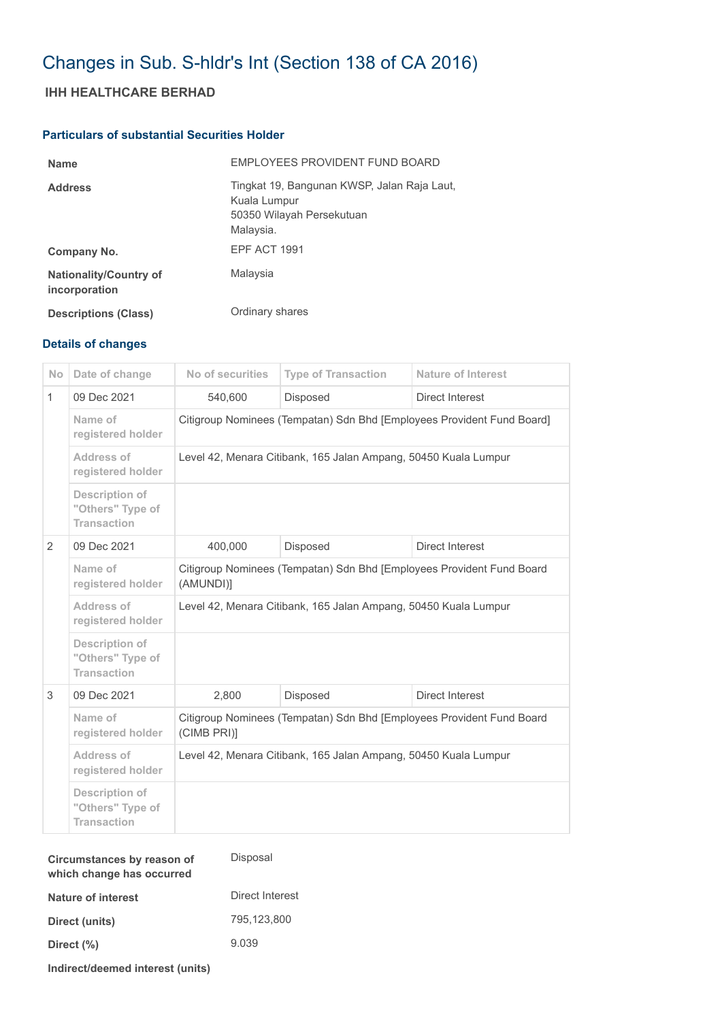## Changes in Sub. S-hldr's Int (Section 138 of CA 2016)

## **IHH HEALTHCARE BERHAD**

## **Particulars of substantial Securities Holder**

| <b>Name</b>                                    | EMPLOYEES PROVIDENT FUND BOARD                                                                        |
|------------------------------------------------|-------------------------------------------------------------------------------------------------------|
| <b>Address</b>                                 | Tingkat 19, Bangunan KWSP, Jalan Raja Laut,<br>Kuala Lumpur<br>50350 Wilayah Persekutuan<br>Malaysia. |
| Company No.                                    | EPF ACT 1991                                                                                          |
| <b>Nationality/Country of</b><br>incorporation | Malaysia                                                                                              |
| <b>Descriptions (Class)</b>                    | Ordinary shares                                                                                       |

## **Details of changes**

| <b>No</b>    | Date of change                                                  | No of securities                                                                     | <b>Type of Transaction</b> | <b>Nature of Interest</b> |  |  |
|--------------|-----------------------------------------------------------------|--------------------------------------------------------------------------------------|----------------------------|---------------------------|--|--|
| $\mathbf{1}$ | 09 Dec 2021                                                     | 540,600                                                                              | <b>Disposed</b>            | Direct Interest           |  |  |
|              | Name of<br>registered holder                                    | Citigroup Nominees (Tempatan) Sdn Bhd [Employees Provident Fund Board]               |                            |                           |  |  |
|              | Address of<br>registered holder                                 | Level 42, Menara Citibank, 165 Jalan Ampang, 50450 Kuala Lumpur                      |                            |                           |  |  |
|              | <b>Description of</b><br>"Others" Type of<br><b>Transaction</b> |                                                                                      |                            |                           |  |  |
| 2            | 09 Dec 2021                                                     | 400,000                                                                              | <b>Disposed</b>            | <b>Direct Interest</b>    |  |  |
|              | Name of<br>registered holder                                    | Citigroup Nominees (Tempatan) Sdn Bhd [Employees Provident Fund Board<br>(AMUNDI)]   |                            |                           |  |  |
|              | Address of<br>registered holder                                 | Level 42, Menara Citibank, 165 Jalan Ampang, 50450 Kuala Lumpur                      |                            |                           |  |  |
|              | Description of<br>"Others" Type of<br><b>Transaction</b>        |                                                                                      |                            |                           |  |  |
| 3            | 09 Dec 2021                                                     | 2.800                                                                                | Disposed                   | Direct Interest           |  |  |
|              | Name of<br>registered holder                                    | Citigroup Nominees (Tempatan) Sdn Bhd [Employees Provident Fund Board<br>(CIMB PRI)] |                            |                           |  |  |
|              | Address of<br>registered holder                                 | Level 42, Menara Citibank, 165 Jalan Ampang, 50450 Kuala Lumpur                      |                            |                           |  |  |
|              | <b>Description of</b><br>"Others" Type of<br><b>Transaction</b> |                                                                                      |                            |                           |  |  |

| Circumstances by reason of<br>which change has occurred | Disposal        |
|---------------------------------------------------------|-----------------|
| Nature of interest                                      | Direct Interest |
| Direct (units)                                          | 795.123.800     |
| Direct (%)                                              | 9.039           |
|                                                         |                 |

**Indirect/deemed interest (units)**